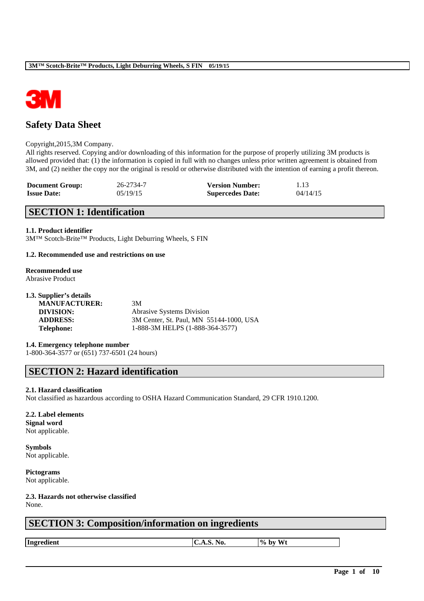

# **Safety Data Sheet**

#### Copyright,2015,3M Company.

All rights reserved. Copying and/or downloading of this information for the purpose of properly utilizing 3M products is allowed provided that: (1) the information is copied in full with no changes unless prior written agreement is obtained from 3M, and (2) neither the copy nor the original is resold or otherwise distributed with the intention of earning a profit thereon.

| <b>Document Group:</b> | 26-2734-7 | <b>Version Number:</b>  | 1.13     |
|------------------------|-----------|-------------------------|----------|
| <b>Issue Date:</b>     | 05/19/15  | <b>Supercedes Date:</b> | 04/14/15 |

# **SECTION 1: Identification**

#### **1.1. Product identifier**

3M™ Scotch-Brite™ Products, Light Deburring Wheels, S FIN

#### **1.2. Recommended use and restrictions on use**

# **Recommended use**

Abrasive Product

#### **1.3. Supplier's details**

| <b>MANUFACTURER:</b> | 3M                                      |
|----------------------|-----------------------------------------|
| DIVISION:            | <b>Abrasive Systems Division</b>        |
| <b>ADDRESS:</b>      | 3M Center, St. Paul, MN 55144-1000, USA |
| <b>Telephone:</b>    | 1-888-3M HELPS (1-888-364-3577)         |
|                      |                                         |

**1.4. Emergency telephone number**

1-800-364-3577 or (651) 737-6501 (24 hours)

# **SECTION 2: Hazard identification**

## **2.1. Hazard classification**

Not classified as hazardous according to OSHA Hazard Communication Standard, 29 CFR 1910.1200.

# **2.2. Label elements**

**Signal word** Not applicable.

**Symbols** Not applicable.

**Pictograms** Not applicable.

**2.3. Hazards not otherwise classified** None.

# **SECTION 3: Composition/information on ingredients**

**Ingredient C.A.S. No. 9% by Wt**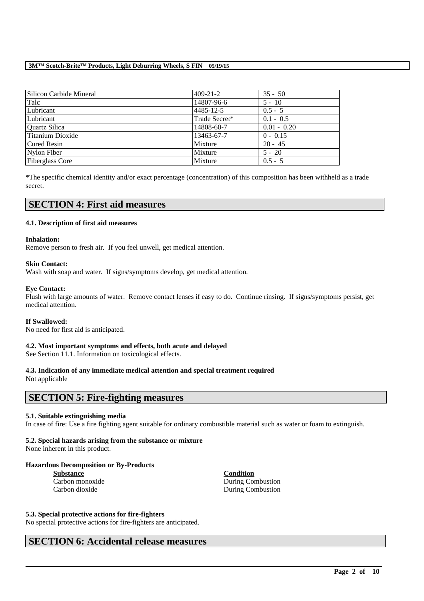| Silicon Carbide Mineral | $409 - 21 - 2$ | $35 - 50$     |
|-------------------------|----------------|---------------|
| Talc                    | 14807-96-6     | $5 - 10$      |
| Lubricant               | 4485-12-5      | $0.5 - 5$     |
| Lubricant               | Trade Secret*  | $0.1 - 0.5$   |
| Quartz Silica           | 14808-60-7     | $0.01 - 0.20$ |
| Titanium Dioxide        | 13463-67-7     | $0 - 0.15$    |
| <b>Cured Resin</b>      | Mixture        | $20 - 45$     |
| Nylon Fiber             | Mixture        | $5 - 20$      |
| <b>Fiberglass Core</b>  | Mixture        | $0.5 - 5$     |
|                         |                |               |

\*The specific chemical identity and/or exact percentage (concentration) of this composition has been withheld as a trade secret.

# **SECTION 4: First aid measures**

#### **4.1. Description of first aid measures**

#### **Inhalation:**

Remove person to fresh air. If you feel unwell, get medical attention.

#### **Skin Contact:**

Wash with soap and water. If signs/symptoms develop, get medical attention.

#### **Eye Contact:**

Flush with large amounts of water. Remove contact lenses if easy to do. Continue rinsing. If signs/symptoms persist, get medical attention.

#### **If Swallowed:**

No need for first aid is anticipated.

#### **4.2. Most important symptoms and effects, both acute and delayed**

See Section 11.1. Information on toxicological effects.

# **4.3. Indication of any immediate medical attention and special treatment required**

Not applicable

# **SECTION 5: Fire-fighting measures**

#### **5.1. Suitable extinguishing media**

In case of fire: Use a fire fighting agent suitable for ordinary combustible material such as water or foam to extinguish.

\_\_\_\_\_\_\_\_\_\_\_\_\_\_\_\_\_\_\_\_\_\_\_\_\_\_\_\_\_\_\_\_\_\_\_\_\_\_\_\_\_\_\_\_\_\_\_\_\_\_\_\_\_\_\_\_\_\_\_\_\_\_\_\_\_\_\_\_\_\_\_\_\_\_\_\_\_\_\_\_\_\_\_\_\_\_\_\_\_\_

#### **5.2. Special hazards arising from the substance or mixture**

None inherent in this product.

## **Hazardous Decomposition or By-Products**

| <b>Substance</b> |
|------------------|
| Carbon monoxide  |
| Carbon dioxide   |

**Condition** e During Combustion During Combustion

#### **5.3. Special protective actions for fire-fighters**

No special protective actions for fire-fighters are anticipated.

# **SECTION 6: Accidental release measures**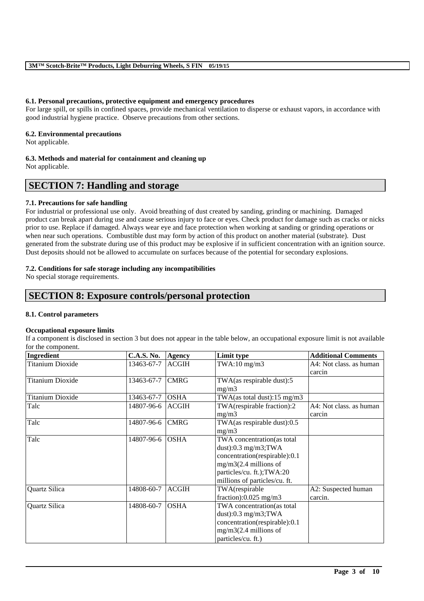#### **6.1. Personal precautions, protective equipment and emergency procedures**

For large spill, or spills in confined spaces, provide mechanical ventilation to disperse or exhaust vapors, in accordance with good industrial hygiene practice. Observe precautions from other sections.

#### **6.2. Environmental precautions**

Not applicable.

#### **6.3. Methods and material for containment and cleaning up**

Not applicable.

# **SECTION 7: Handling and storage**

## **7.1. Precautions for safe handling**

For industrial or professional use only. Avoid breathing of dust created by sanding, grinding or machining. Damaged product can break apart during use and cause serious injury to face or eyes. Check product for damage such as cracks or nicks prior to use. Replace if damaged. Always wear eye and face protection when working at sanding or grinding operations or when near such operations. Combustible dust may form by action of this product on another material (substrate). Dust generated from the substrate during use of this product may be explosive if in sufficient concentration with an ignition source. Dust deposits should not be allowed to accumulate on surfaces because of the potential for secondary explosions.

## **7.2. Conditions for safe storage including any incompatibilities**

No special storage requirements.

# **SECTION 8: Exposure controls/personal protection**

## **8.1. Control parameters**

## **Occupational exposure limits**

If a component is disclosed in section 3 but does not appear in the table below, an occupational exposure limit is not available for the component.

| Ingredient              | <b>C.A.S. No.</b> | <b>Agency</b> | Limit type                                                                                                                                                                      | <b>Additional Comments</b>        |
|-------------------------|-------------------|---------------|---------------------------------------------------------------------------------------------------------------------------------------------------------------------------------|-----------------------------------|
| <b>Titanium Dioxide</b> | 13463-67-7        | <b>ACGIH</b>  | $TWA:10$ mg/m $3$                                                                                                                                                               | A4: Not class. as human<br>carcin |
| <b>Titanium Dioxide</b> | 13463-67-7        | <b>CMRG</b>   | TWA(as respirable dust):5<br>mg/m3                                                                                                                                              |                                   |
| <b>Titanium Dioxide</b> | 13463-67-7        | <b>OSHA</b>   | TWA(as total dust):15 mg/m3                                                                                                                                                     |                                   |
| Talc                    | 14807-96-6        | <b>ACGIH</b>  | TWA(respirable fraction):2<br>mg/m3                                                                                                                                             | A4: Not class, as human<br>carcin |
| Talc                    | 14807-96-6        | <b>CMRG</b>   | TWA(as respirable dust):0.5<br>mg/m3                                                                                                                                            |                                   |
| Talc                    | 14807-96-6        | <b>OSHA</b>   | TWA concentration(as total<br>dust): $0.3$ mg/m3;TWA<br>concentration(respirable):0.1<br>$mg/m3(2.4$ millions of<br>particles/cu. ft.); TWA:20<br>millions of particles/cu. ft. |                                   |
| Quartz Silica           | 14808-60-7        | <b>ACGIH</b>  | TWA(respirable<br>fraction): $0.025$ mg/m3                                                                                                                                      | A2: Suspected human<br>carcin.    |
| Quartz Silica           | 14808-60-7        | <b>OSHA</b>   | TWA concentration(as total<br>dust): $0.3$ mg/m3;TWA<br>concentration(respirable):0.1<br>$mg/m3(2.4$ millions of<br>particles/cu. ft.)                                          |                                   |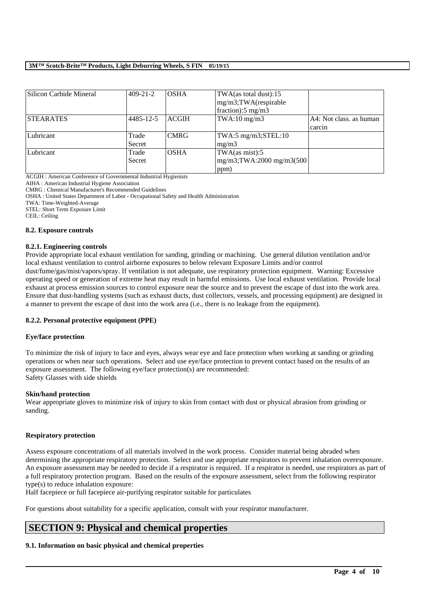| Silicon Carbide Mineral | $409 - 21 - 2$ | <b>OSHA</b>  | TWA(as total dust):15<br>mg/m3;TWA(respirable<br>fraction): $5 \text{ mg/m}$ 3 |                         |
|-------------------------|----------------|--------------|--------------------------------------------------------------------------------|-------------------------|
|                         |                |              |                                                                                |                         |
| <b>STEARATES</b>        | 4485-12-5      | <b>ACGIH</b> | $TWA:10$ mg/m $3$                                                              | A4: Not class, as human |
|                         |                |              |                                                                                | carcin                  |
| Lubricant               | Trade          | <b>CMRG</b>  | $TWA:5$ mg/m3; $STEL:10$                                                       |                         |
|                         | Secret         |              | mg/m3                                                                          |                         |
| Lubricant               | Trade          | <b>OSHA</b>  | TWA(as mist):5                                                                 |                         |
|                         | Secret         |              | $mg/m3$ ; TWA: 2000 mg/m $3(500)$                                              |                         |
|                         |                |              | ppm)                                                                           |                         |

ACGIH : American Conference of Governmental Industrial Hygienists

AIHA : American Industrial Hygiene Association

CMRG : Chemical Manufacturer's Recommended Guidelines

OSHA : United States Department of Labor - Occupational Safety and Health Administration

TWA: Time-Weighted-Average

STEL: Short Term Exposure Limit

CEIL: Ceiling

#### **8.2. Exposure controls**

#### **8.2.1. Engineering controls**

Provide appropriate local exhaust ventilation for sanding, grinding or machining. Use general dilution ventilation and/or local exhaust ventilation to control airborne exposures to below relevant Exposure Limits and/or control

dust/fume/gas/mist/vapors/spray. If ventilation is not adequate, use respiratory protection equipment. Warning: Excessive operating speed or generation of extreme heat may result in harmful emissions. Use local exhaust ventilation. Provide local exhaust at process emission sources to control exposure near the source and to prevent the escape of dust into the work area. Ensure that dust-handling systems (such as exhaust ducts, dust collectors, vessels, and processing equipment) are designed in a manner to prevent the escape of dust into the work area (i.e., there is no leakage from the equipment).

#### **8.2.2. Personal protective equipment (PPE)**

#### **Eye/face protection**

To minimize the risk of injury to face and eyes, always wear eye and face protection when working at sanding or grinding operations or when near such operations. Select and use eye/face protection to prevent contact based on the results of an exposure assessment. The following eye/face protection(s) are recommended: Safety Glasses with side shields

#### **Skin/hand protection**

Wear appropriate gloves to minimize risk of injury to skin from contact with dust or physical abrasion from grinding or sanding.

#### **Respiratory protection**

Assess exposure concentrations of all materials involved in the work process. Consider material being abraded when determining the appropriate respiratory protection. Select and use appropriate respirators to prevent inhalation overexposure. An exposure assessment may be needed to decide if a respirator is required. If a respirator is needed, use respirators as part of a full respiratory protection program. Based on the results of the exposure assessment, select from the following respirator type(s) to reduce inhalation exposure:

\_\_\_\_\_\_\_\_\_\_\_\_\_\_\_\_\_\_\_\_\_\_\_\_\_\_\_\_\_\_\_\_\_\_\_\_\_\_\_\_\_\_\_\_\_\_\_\_\_\_\_\_\_\_\_\_\_\_\_\_\_\_\_\_\_\_\_\_\_\_\_\_\_\_\_\_\_\_\_\_\_\_\_\_\_\_\_\_\_\_

Half facepiece or full facepiece air-purifying respirator suitable for particulates

For questions about suitability for a specific application, consult with your respirator manufacturer.

# **SECTION 9: Physical and chemical properties**

## **9.1. Information on basic physical and chemical properties**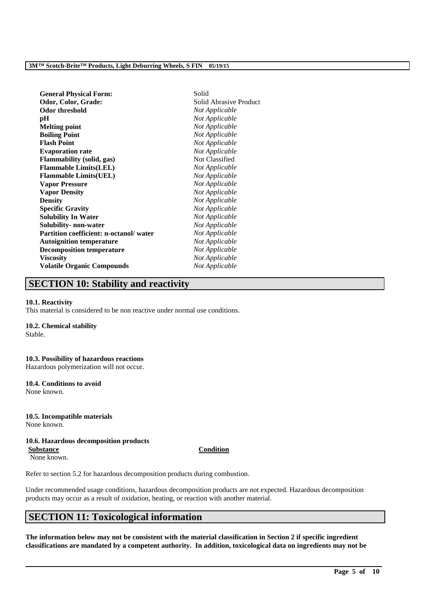| <b>General Physical Form:</b>          | Solid                  |
|----------------------------------------|------------------------|
| Odor, Color, Grade:                    | Solid Abrasive Product |
| Odor threshold                         | Not Applicable         |
| pН                                     | Not Applicable         |
| <b>Melting point</b>                   | Not Applicable         |
| <b>Boiling Point</b>                   | Not Applicable         |
| <b>Flash Point</b>                     | Not Applicable         |
| <b>Evaporation rate</b>                | Not Applicable         |
| <b>Flammability (solid, gas)</b>       | Not Classified         |
| <b>Flammable Limits(LEL)</b>           | Not Applicable         |
| <b>Flammable Limits(UEL)</b>           | Not Applicable         |
| <b>Vapor Pressure</b>                  | Not Applicable         |
| <b>Vapor Density</b>                   | Not Applicable         |
| <b>Density</b>                         | Not Applicable         |
| <b>Specific Gravity</b>                | Not Applicable         |
| <b>Solubility In Water</b>             | Not Applicable         |
| Solubility- non-water                  | Not Applicable         |
| Partition coefficient: n-octanol/water | Not Applicable         |
| <b>Autoignition temperature</b>        | Not Applicable         |
| <b>Decomposition temperature</b>       | Not Applicable         |
| <b>Viscosity</b>                       | Not Applicable         |
| <b>Volatile Organic Compounds</b>      | Not Applicable         |

# **SECTION 10: Stability and reactivity**

#### **10.1. Reactivity**

This material is considered to be non reactive under normal use conditions.

## **10.2. Chemical stability**

Stable.

### **10.3. Possibility of hazardous reactions** Hazardous polymerization will not occur.

**10.4. Conditions to avoid**

None known.

#### **10.5. Incompatible materials** None known.

# **10.6. Hazardous decomposition products**

None known.

**Substance Condition**

Refer to section 5.2 for hazardous decomposition products during combustion.

Under recommended usage conditions, hazardous decomposition products are not expected. Hazardous decomposition products may occur as a result of oxidation, heating, or reaction with another material.

# **SECTION 11: Toxicological information**

**The information below may not be consistent with the material classification in Section 2 if specific ingredient classifications are mandated by a competent authority. In addition, toxicological data on ingredients may not be**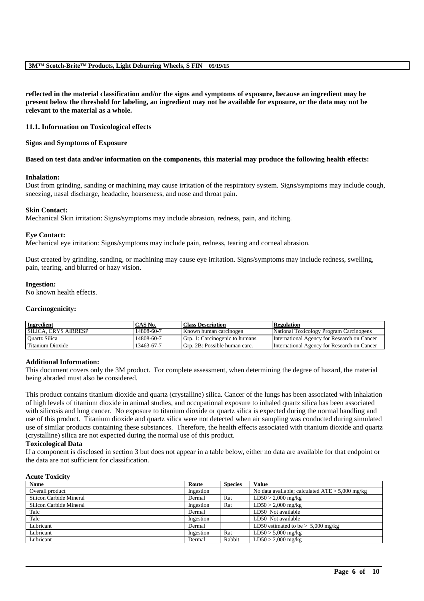**reflected in the material classification and/or the signs and symptoms of exposure, because an ingredient may be present below the threshold for labeling, an ingredient may not be available for exposure, or the data may not be relevant to the material as a whole.**

#### **11.1. Information on Toxicological effects**

#### **Signs and Symptoms of Exposure**

#### **Based on test data and/or information on the components, this material may produce the following health effects:**

#### **Inhalation:**

Dust from grinding, sanding or machining may cause irritation of the respiratory system. Signs/symptoms may include cough, sneezing, nasal discharge, headache, hoarseness, and nose and throat pain.

#### **Skin Contact:**

Mechanical Skin irritation: Signs/symptoms may include abrasion, redness, pain, and itching.

#### **Eye Contact:**

Mechanical eye irritation: Signs/symptoms may include pain, redness, tearing and corneal abrasion.

Dust created by grinding, sanding, or machining may cause eye irritation. Signs/symptoms may include redness, swelling, pain, tearing, and blurred or hazy vision.

#### **Ingestion:**

No known health effects.

### **Carcinogenicity:**

| Ingredient                  | $\bigcirc$ AS No. | <b>Class Description</b>       | Regulation                                  |
|-----------------------------|-------------------|--------------------------------|---------------------------------------------|
| <b>SILICA. CRYS AIRRESP</b> | 14808-60-7        | Known human carcinogen         | National Toxicology Program Carcinogens     |
| <b>Ouartz Silica</b>        | 14808-60-7        | Grp. 1: Carcinogenic to humans | International Agency for Research on Cancer |
| Titanium Dioxide            | 13463-67-7        | Grp. 2B: Possible human carc.  | International Agency for Research on Cancer |

#### **Additional Information:**

This document covers only the 3M product. For complete assessment, when determining the degree of hazard, the material being abraded must also be considered.

This product contains titanium dioxide and quartz (crystalline) silica. Cancer of the lungs has been associated with inhalation of high levels of titanium dioxide in animal studies, and occupational exposure to inhaled quartz silica has been associated with silicosis and lung cancer. No exposure to titanium dioxide or quartz silica is expected during the normal handling and use of this product. Titanium dioxide and quartz silica were not detected when air sampling was conducted during simulated use of similar products containing these substances. Therefore, the health effects associated with titanium dioxide and quartz (crystalline) silica are not expected during the normal use of this product.

#### **Toxicological Data**

If a component is disclosed in section 3 but does not appear in a table below, either no data are available for that endpoint or the data are not sufficient for classification.

#### **Acute Toxicity**

| <b>Name</b>             | Route     | <b>Species</b> | <b>Value</b>                                      |
|-------------------------|-----------|----------------|---------------------------------------------------|
| Overall product         | Ingestion |                | No data available; calculated $ATE > 5,000$ mg/kg |
| Silicon Carbide Mineral | Dermal    | Rat            | $LD50 > 2,000$ mg/kg                              |
| Silicon Carbide Mineral | Ingestion | Rat            | $LD50 > 2,000$ mg/kg                              |
| Talc                    | Dermal    |                | LD50 Not available                                |
| Talc                    | Ingestion |                | LD50 Not available                                |
| Lubricant               | Dermal    |                | LD50 estimated to be $> 5,000$ mg/kg              |
| Lubricant               | Ingestion | Rat            | $LD50 > 5,000$ mg/kg                              |
| Lubricant               | Dermal    | Rabbit         | $LD50 > 2,000$ mg/kg                              |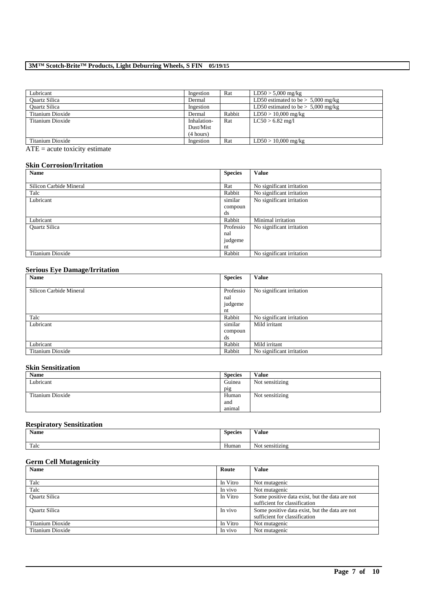| Lubricant            | Ingestion   | Rat    | $LD50 > 5,000$ mg/kg                 |
|----------------------|-------------|--------|--------------------------------------|
| <b>Ouartz Silica</b> | Dermal      |        | LD50 estimated to be $> 5,000$ mg/kg |
| <b>Ouartz Silica</b> | Ingestion   |        | LD50 estimated to be $> 5,000$ mg/kg |
| Titanium Dioxide     | Dermal      | Rabbit | $LD50 > 10,000$ mg/kg                |
| Titanium Dioxide     | Inhalation- | Rat    | $LC50 > 6.82$ mg/l                   |
|                      | Dust/Mist   |        |                                      |
|                      | (4 hours)   |        |                                      |
| Titanium Dioxide     | Ingestion   | Rat    | $LD50 > 10,000$ mg/kg                |

ATE = acute toxicity estimate

# **Skin Corrosion/Irritation**

| Name                    | <b>Species</b> | <b>Value</b>              |
|-------------------------|----------------|---------------------------|
|                         |                |                           |
| Silicon Carbide Mineral | Rat            | No significant irritation |
| Talc                    | Rabbit         | No significant irritation |
| Lubricant               | similar        | No significant irritation |
|                         | compoun        |                           |
|                         | ds             |                           |
| Lubricant               | Rabbit         | Minimal irritation        |
| <b>Ouartz Silica</b>    | Professio      | No significant irritation |
|                         | nal            |                           |
|                         | judgeme        |                           |
|                         | nt             |                           |
| Titanium Dioxide        | Rabbit         | No significant irritation |

# **Serious Eye Damage/Irritation**

| $\bullet$<br><b>Name</b> | <b>Species</b> | <b>Value</b>              |
|--------------------------|----------------|---------------------------|
|                          |                |                           |
| Silicon Carbide Mineral  | Professio      | No significant irritation |
|                          | nal            |                           |
|                          | judgeme        |                           |
|                          | nt             |                           |
| Talc                     | Rabbit         | No significant irritation |
| Lubricant                | similar        | Mild irritant             |
|                          | compoun        |                           |
|                          | ds             |                           |
| Lubricant                | Rabbit         | Mild irritant             |
| Titanium Dioxide         | Rabbit         | No significant irritation |

# **Skin Sensitization**

| Name             | <b>Species</b>            | <b>Value</b>    |
|------------------|---------------------------|-----------------|
| Lubricant        | Guinea                    | Not sensitizing |
|                  | pig                       |                 |
| Titanium Dioxide | Human                     | Not sensitizing |
|                  | and                       |                 |
|                  | $\cdot$ $\cdot$<br>animal |                 |

# **Respiratory Sensitization**

| Name | -<br><b>Species</b> | $- - -$<br>⁄ alue        |
|------|---------------------|--------------------------|
| Talc | --<br>Human         | . .<br>No<br>sensitizing |

# **Germ Cell Mutagenicity**

| <b>Name</b>          | Route    | <b>Value</b>                                   |
|----------------------|----------|------------------------------------------------|
|                      |          |                                                |
| Talc                 | In Vitro | Not mutagenic                                  |
| Talc                 | In vivo  | Not mutagenic                                  |
| <b>Ouartz Silica</b> | In Vitro | Some positive data exist, but the data are not |
|                      |          | sufficient for classification                  |
| <b>Ouartz Silica</b> | In vivo  | Some positive data exist, but the data are not |
|                      |          | sufficient for classification                  |
| Titanium Dioxide     | In Vitro | Not mutagenic                                  |
| Titanium Dioxide     | In vivo  | Not mutagenic                                  |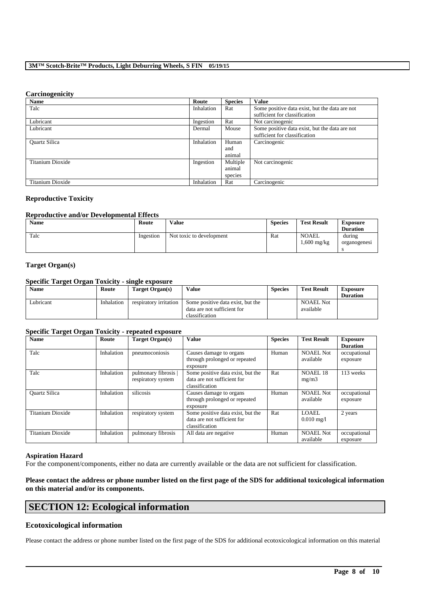#### **Carcinogenicity**

| <b>Name</b>          | Route      | <b>Species</b> | <b>Value</b>                                   |
|----------------------|------------|----------------|------------------------------------------------|
| Talc                 | Inhalation | Rat            | Some positive data exist, but the data are not |
|                      |            |                | sufficient for classification                  |
| Lubricant            | Ingestion  | Rat            | Not carcinogenic                               |
| Lubricant            | Dermal     | Mouse          | Some positive data exist, but the data are not |
|                      |            |                | sufficient for classification                  |
| <b>Quartz Silica</b> | Inhalation | Human          | Carcinogenic                                   |
|                      |            | and            |                                                |
|                      |            | animal         |                                                |
| Titanium Dioxide     | Ingestion  | Multiple       | Not carcinogenic                               |
|                      |            | animal         |                                                |
|                      |            | species        |                                                |
| Titanium Dioxide     | Inhalation | Rat            | Carcinogenic                                   |

### **Reproductive Toxicity**

# **Reproductive and/or Developmental Effects**

| <b>Name</b> | Route     | Value                    | <b>Species</b> | <b>Test Result</b>          | <b>Exposure</b><br><b>Duration</b> |
|-------------|-----------|--------------------------|----------------|-----------------------------|------------------------------------|
| Talc        | Ingestion | Not toxic to development | Rat            | <b>NOAEL</b><br>1,600 mg/kg | during<br>organogenesi             |

# **Target Organ(s)**

# **Specific Target Organ Toxicity - single exposure**

| <b>Name</b> | Route      | Target Organ(s)        | Value                                                            | <b>Species</b> | <b>Test Result</b>            | <b>Exposure</b><br><b>Duration</b> |
|-------------|------------|------------------------|------------------------------------------------------------------|----------------|-------------------------------|------------------------------------|
| Lubricant   | Inhalation | respiratory irritation | Some positive data exist, but the<br>data are not sufficient for |                | <b>NOAEL Not</b><br>available |                                    |
|             |            |                        | classification                                                   |                |                               |                                    |

## **Specific Target Organ Toxicity - repeated exposure**

| $\bullet$<br><b>Name</b> | Route      | <b>Target Organ(s)</b>                   | <b>Value</b>                                                                       | <b>Species</b> | <b>Test Result</b>             | <b>Exposure</b><br><b>Duration</b> |
|--------------------------|------------|------------------------------------------|------------------------------------------------------------------------------------|----------------|--------------------------------|------------------------------------|
| Talc                     | Inhalation | pneumoconiosis                           | Causes damage to organs<br>through prolonged or repeated<br>exposure               | Human          | NOAEL Not<br>available         | occupational<br>exposure           |
| Talc                     | Inhalation | pulmonary fibrosis<br>respiratory system | Some positive data exist, but the<br>data are not sufficient for<br>classification | Rat            | NOAEL 18<br>mg/m3              | 113 weeks                          |
| <b>Ouartz Silica</b>     | Inhalation | silicosis                                | Causes damage to organs<br>through prolonged or repeated<br>exposure               | Human          | <b>NOAEL Not</b><br>available  | occupational<br>exposure           |
| Titanium Dioxide         | Inhalation | respiratory system                       | Some positive data exist, but the<br>data are not sufficient for<br>classification | Rat            | LOAEL.<br>$0.010 \text{ mg}/1$ | 2 years                            |
| Titanium Dioxide         | Inhalation | pulmonary fibrosis                       | All data are negative                                                              | Human          | <b>NOAEL Not</b><br>available  | occupational<br>exposure           |

### **Aspiration Hazard**

For the component/components, either no data are currently available or the data are not sufficient for classification.

### **Please contact the address or phone number listed on the first page of the SDS for additional toxicological information on this material and/or its components.**

# **SECTION 12: Ecological information**

# **Ecotoxicological information**

Please contact the address or phone number listed on the first page of the SDS for additional ecotoxicological information on this material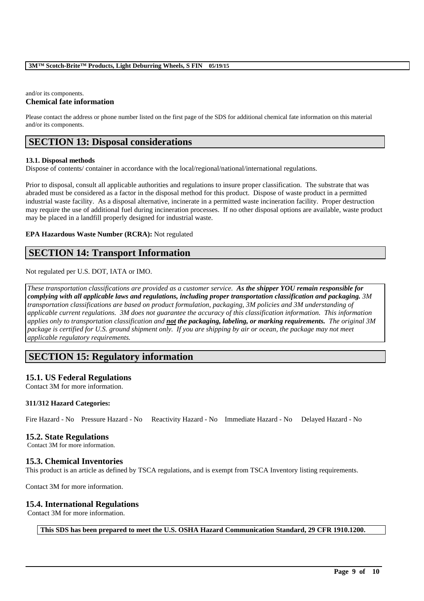and/or its components.

# **Chemical fate information**

Please contact the address or phone number listed on the first page of the SDS for additional chemical fate information on this material and/or its components.

# **SECTION 13: Disposal considerations**

#### **13.1. Disposal methods**

Dispose of contents/ container in accordance with the local/regional/national/international regulations.

Prior to disposal, consult all applicable authorities and regulations to insure proper classification. The substrate that was abraded must be considered as a factor in the disposal method for this product. Dispose of waste product in a permitted industrial waste facility. As a disposal alternative, incinerate in a permitted waste incineration facility. Proper destruction may require the use of additional fuel during incineration processes. If no other disposal options are available, waste product may be placed in a landfill properly designed for industrial waste.

## **EPA Hazardous Waste Number (RCRA):** Not regulated

# **SECTION 14: Transport Information**

Not regulated per U.S. DOT, IATA or IMO.

*These transportation classifications are provided as a customer service. As the shipper YOU remain responsible for complying with all applicable laws and regulations, including proper transportation classification and packaging. 3M transportation classifications are based on product formulation, packaging, 3M policies and 3M understanding of applicable current regulations. 3M does not guarantee the accuracy of this classification information. This information applies only to transportation classification and not the packaging, labeling, or marking requirements. The original 3M package is certified for U.S. ground shipment only. If you are shipping by air or ocean, the package may not meet applicable regulatory requirements.* 

# **SECTION 15: Regulatory information**

## **15.1. US Federal Regulations**

Contact 3M for more information.

## **311/312 Hazard Categories:**

Fire Hazard - No Pressure Hazard - No Reactivity Hazard - No Immediate Hazard - No Delayed Hazard - No

## **15.2. State Regulations**

Contact 3M for more information.

## **15.3. Chemical Inventories**

This product is an article as defined by TSCA regulations, and is exempt from TSCA Inventory listing requirements.

Contact 3M for more information.

# **15.4. International Regulations**

Contact 3M for more information.

**This SDS has been prepared to meet the U.S. OSHA Hazard Communication Standard, 29 CFR 1910.1200.**